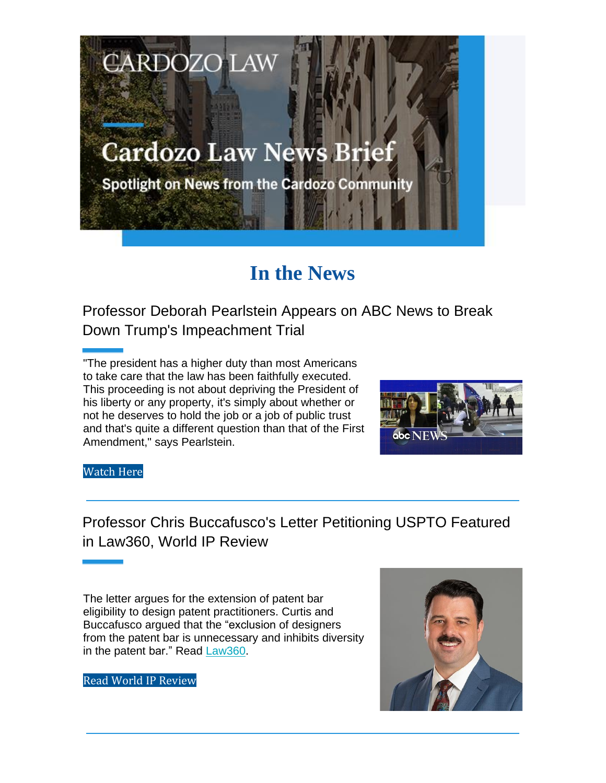## **Cardozo Law News Brief**

**CARDOZO LAW** 

**Spotlight on News from the Cardozo Community** 

## **In the News**

Professor Deborah Pearlstein Appears on ABC News to Break Down Trump's Impeachment Trial

"The president has a higher duty than most Americans to take care that the law has been faithfully executed. This proceeding is not about depriving the President of his liberty or any property, it's simply about whether or not he deserves to hold the job or a job of public trust and that's quite a different question than that of the First Amendment," says Pearlstein.



## Watch Here

Professor Chris Buccafusco's Letter Petitioning USPTO Featured in Law360, World IP Review

The letter argues for the extension of patent bar eligibility to design patent practitioners. Curtis and Buccafusco argued that the "exclusion of designers from the patent bar is unnecessary and inhibits diversity in the patent bar." Read Law360.



Read World IP Review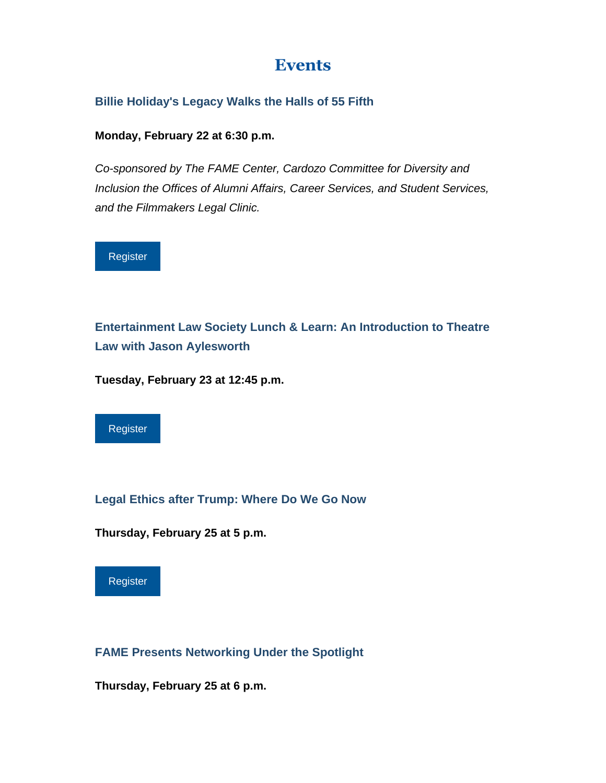## **Events**

**Billie Holiday's Legacy Walks the Halls of 55 Fifth**

**Monday, February 22 at 6:30 p.m.**

*Co-sponsored by The FAME Center, Cardozo Committee for Diversity and Inclusion the Offices of Alumni Affairs, Career Services, and Student Services, and the Filmmakers Legal Clinic.*



**Entertainment Law Society Lunch & Learn: An Introduction to Theatre Law with Jason Aylesworth**

**Tuesday, February 23 at 12:45 p.m.**



**Legal Ethics after Trump: Where Do We Go Now**

**Thursday, February 25 at 5 p.m.**



**FAME Presents Networking Under the Spotlight**

**Thursday, February 25 at 6 p.m.**